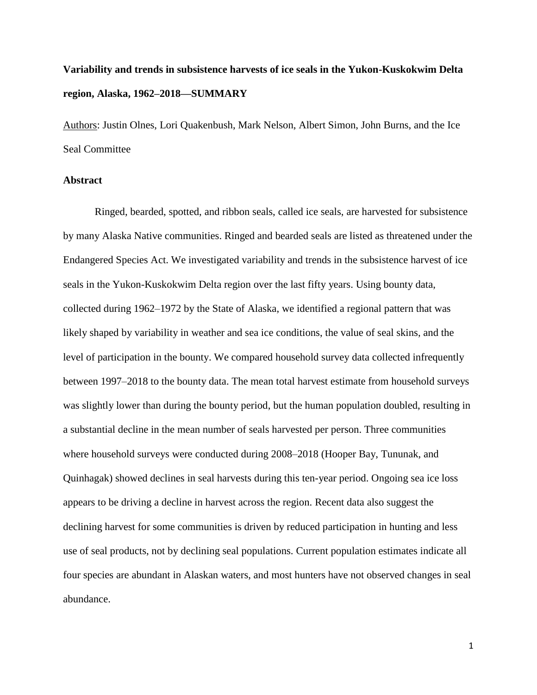# **Variability and trends in subsistence harvests of ice seals in the Yukon-Kuskokwim Delta region, Alaska, 1962–2018—SUMMARY**

Authors: Justin Olnes, Lori Quakenbush, Mark Nelson, Albert Simon, John Burns, and the Ice Seal Committee

#### **Abstract**

Ringed, bearded, spotted, and ribbon seals, called ice seals, are harvested for subsistence by many Alaska Native communities. Ringed and bearded seals are listed as threatened under the Endangered Species Act. We investigated variability and trends in the subsistence harvest of ice seals in the Yukon-Kuskokwim Delta region over the last fifty years. Using bounty data, collected during 1962–1972 by the State of Alaska, we identified a regional pattern that was likely shaped by variability in weather and sea ice conditions, the value of seal skins, and the level of participation in the bounty. We compared household survey data collected infrequently between 1997–2018 to the bounty data. The mean total harvest estimate from household surveys was slightly lower than during the bounty period, but the human population doubled, resulting in a substantial decline in the mean number of seals harvested per person. Three communities where household surveys were conducted during 2008–2018 (Hooper Bay, Tununak, and Quinhagak) showed declines in seal harvests during this ten-year period. Ongoing sea ice loss appears to be driving a decline in harvest across the region. Recent data also suggest the declining harvest for some communities is driven by reduced participation in hunting and less use of seal products, not by declining seal populations. Current population estimates indicate all four species are abundant in Alaskan waters, and most hunters have not observed changes in seal abundance.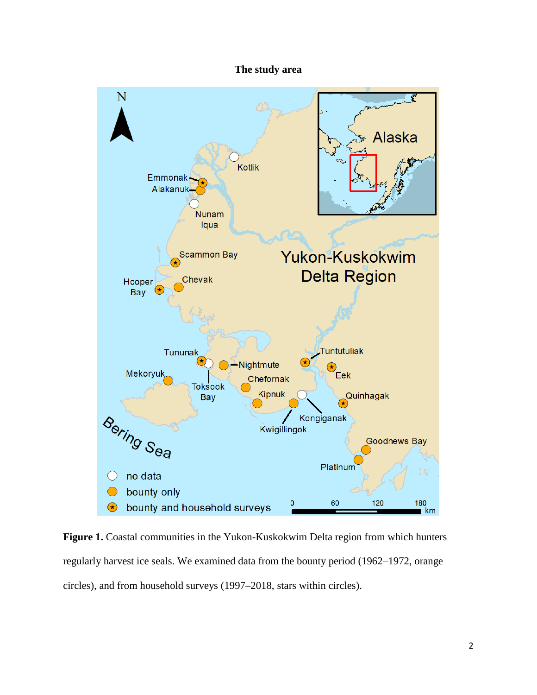#### **The study area**



Figure 1. Coastal communities in the Yukon-Kuskokwim Delta region from which hunters regularly harvest ice seals. We examined data from the bounty period (1962–1972, orange circles), and from household surveys (1997–2018, stars within circles).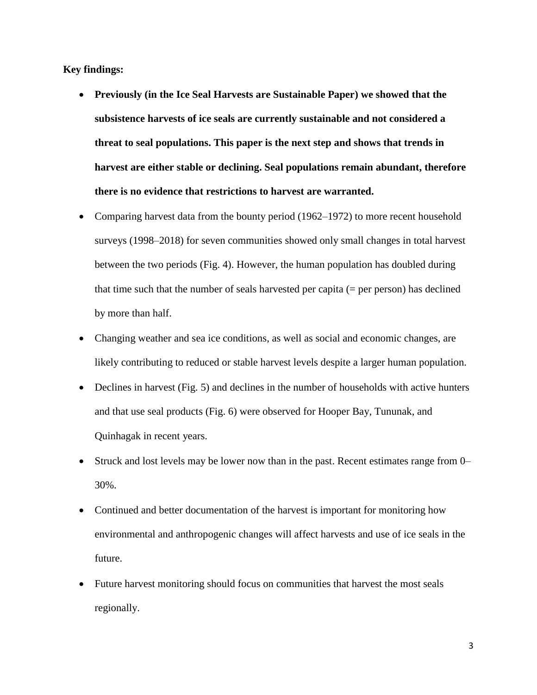**Key findings:**

- **Previously (in the Ice Seal Harvests are Sustainable Paper) we showed that the subsistence harvests of ice seals are currently sustainable and not considered a threat to seal populations. This paper is the next step and shows that trends in harvest are either stable or declining. Seal populations remain abundant, therefore there is no evidence that restrictions to harvest are warranted.**
- Comparing harvest data from the bounty period (1962–1972) to more recent household surveys (1998–2018) for seven communities showed only small changes in total harvest between the two periods (Fig. 4). However, the human population has doubled during that time such that the number of seals harvested per capita (= per person) has declined by more than half.
- Changing weather and sea ice conditions, as well as social and economic changes, are likely contributing to reduced or stable harvest levels despite a larger human population.
- Declines in harvest (Fig. 5) and declines in the number of households with active hunters and that use seal products (Fig. 6) were observed for Hooper Bay, Tununak, and Quinhagak in recent years.
- Struck and lost levels may be lower now than in the past. Recent estimates range from 0– 30%.
- Continued and better documentation of the harvest is important for monitoring how environmental and anthropogenic changes will affect harvests and use of ice seals in the future.
- Future harvest monitoring should focus on communities that harvest the most seals regionally.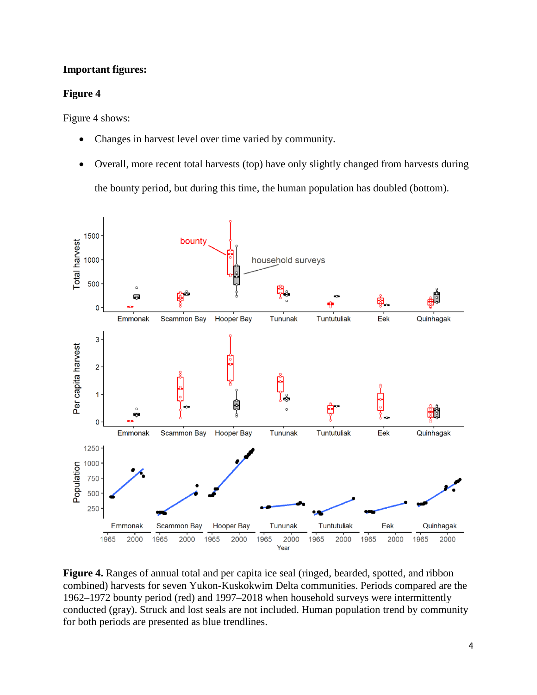## **Important figures:**

#### **Figure 4**

Figure 4 shows:

- Changes in harvest level over time varied by community.
- Overall, more recent total harvests (top) have only slightly changed from harvests during the bounty period, but during this time, the human population has doubled (bottom).



**Figure 4.** Ranges of annual total and per capita ice seal (ringed, bearded, spotted, and ribbon combined) harvests for seven Yukon-Kuskokwim Delta communities. Periods compared are the 1962–1972 bounty period (red) and 1997–2018 when household surveys were intermittently conducted (gray). Struck and lost seals are not included. Human population trend by community for both periods are presented as blue trendlines.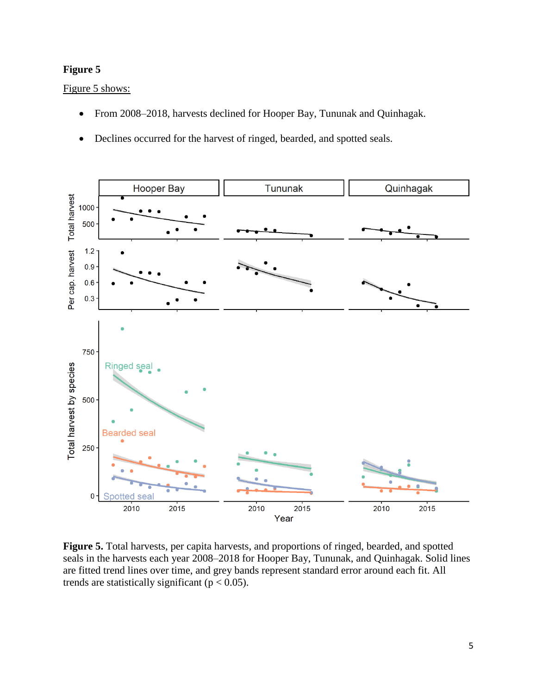# **Figure 5**

Figure 5 shows:

- From 2008–2018, harvests declined for Hooper Bay, Tununak and Quinhagak.
- Declines occurred for the harvest of ringed, bearded, and spotted seals.



**Figure 5.** Total harvests, per capita harvests, and proportions of ringed, bearded, and spotted seals in the harvests each year 2008–2018 for Hooper Bay, Tununak, and Quinhagak. Solid lines are fitted trend lines over time, and grey bands represent standard error around each fit. All trends are statistically significant ( $p < 0.05$ ).